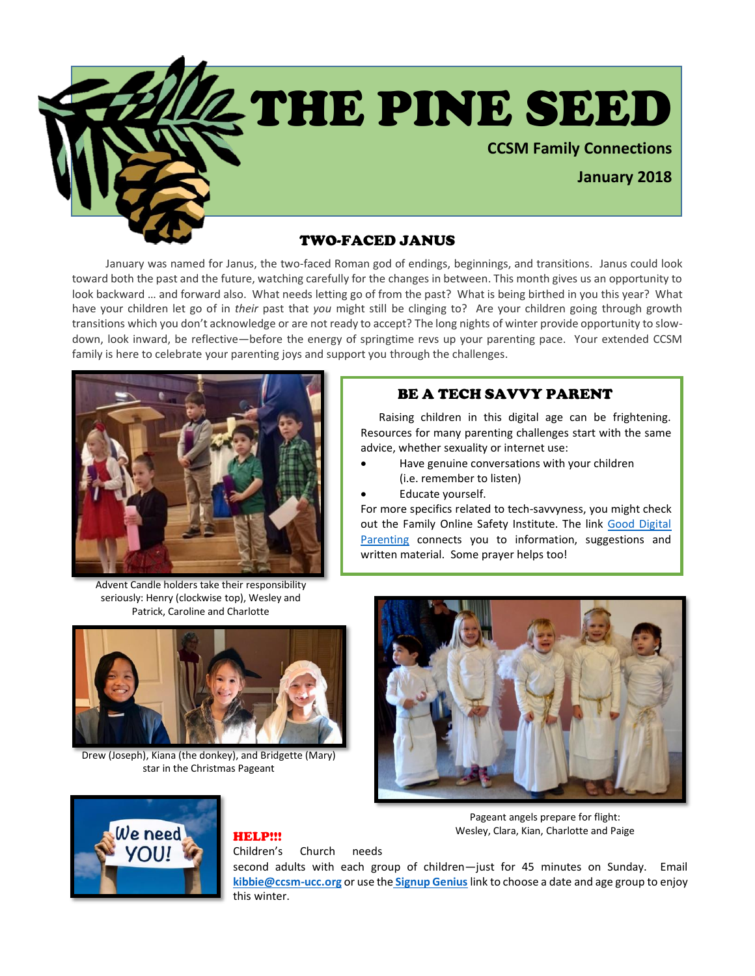

 January was named for Janus, the two-faced Roman god of endings, beginnings, and transitions. Janus could look toward both the past and the future, watching carefully for the changes in between. This month gives us an opportunity to look backward … and forward also. What needs letting go of from the past? What is being birthed in you this year? What have your children let go of in *their* past that *you* might still be clinging to? Are your children going through growth transitions which you don't acknowledge or are not ready to accept? The long nights of winter provide opportunity to slowdown, look inward, be reflective—before the energy of springtime revs up your parenting pace. Your extended CCSM family is here to celebrate your parenting joys and support you through the challenges.



Advent Candle holders take their responsibility seriously: Henry (clockwise top), Wesley and Patrick, Caroline and Charlotte



Drew (Joseph), Kiana (the donkey), and Bridgette (Mary) star in the Christmas Pageant

## BE A TECH SAVVY PARENT

 Raising children in this digital age can be frightening. Resources for many parenting challenges start with the same advice, whether sexuality or internet use:

- Have genuine conversations with your children (i.e. remember to listen)
- Educate yourself.

For more specifics related to tech-savvyness, you might check out the Family Online Safety Institute. The link [Good Digital](https://www.fosi.org/gdppresentation/)  [Parenting](https://www.fosi.org/gdppresentation/) connects you to information, suggestions and written material. Some prayer helps too!





# HELP!!!

Children's Church needs

Pageant angels prepare for flight: Wesley, Clara, Kian, Charlotte and Paige

second adults with each group of children—just for 45 minutes on Sunday. Email **[kibbie@ccsm-ucc.org](mailto:kibbie@ccsm-ucc.org)** or use the **[Signup Genius](http://www.signupgenius.com/go/30e0945abae1-childrens1)** link to choose a date and age group to enjoy this winter.